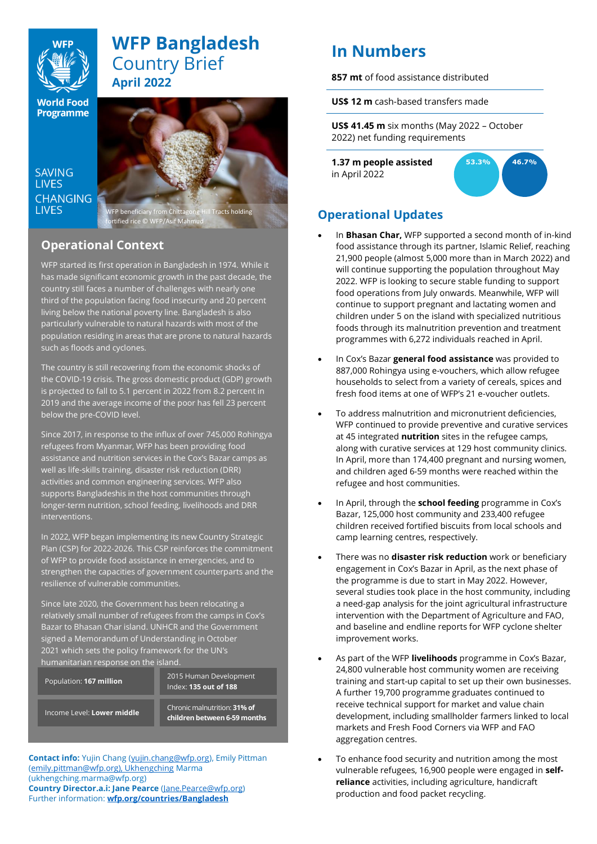

# **WFP Bangladesh**  Country Brief **April 2022**

**World Food Programme** 

SAVING **LIVES CHANGING I IVES** 



# **Operational Context**

WFP started its first operation in Bangladesh in 1974. While it has made significant economic growth in the past decade, the country still faces a number of challenges with nearly one third of the population facing food insecurity and 20 percent living below the national poverty line. Bangladesh is also particularly vulnerable to natural hazards with most of the population residing in areas that are prone to natural hazards such as floods and cyclones.

The country is still recovering from the economic shocks of the COVID-19 crisis. The gross domestic product (GDP) growth is projected to fall to 5.1 percent in 2022 from 8.2 percent in 2019 and the average income of the poor has fell 23 percent below the pre-COVID level.

Since 2017, in response to the influx of over 745,000 Rohingya refugees from Myanmar, WFP has been providing food assistance and nutrition services in the Cox's Bazar camps as well as life-skills training, disaster risk reduction (DRR) activities and common engineering services. WFP also supports Bangladeshis in the host communities through longer-term nutrition, school feeding, livelihoods and DRR interventions.

In 2022, WFP began implementing its new Country Strategic Plan (CSP) for 2022-2026. This CSP reinforces the commitment of WFP to provide food assistance in emergencies, and to strengthen the capacities of government counterparts and the resilience of vulnerable communities.

Since late 2020, the Government has been relocating a relatively small number of refugees from the camps in Cox's Bazar to Bhasan Char island. UNHCR and the Government signed a Memorandum of Understanding in October 2021 which sets the policy framework for the UN's humanitarian response on the island.

Population: **167 million**

2015 Human Development Index: **135 out of 188**

Income Level: **Lower middle**

Chronic malnutrition: **31% of children between 6-59 months**

**Contact info:** Yujin Chang [\(yujin.chang@wfp.org\)](mailto:yujin.chang@wfp.org), Emily Pittman [\(emily.pittman@wfp.org\), Ukhengching](mailto:emily.pittman@wfp.org),%20Ukhengching) Marma (ukhengching.marma@wfp.org) **Country Director.a.i: Jane Pearce** [\(Jane.Pearce@wfp.org\)](mailto:Jane.Pearce@wfp.org) Further information: **[wfp.org/countries/Bangladesh](http://www.wfp.org/countries/BangladeshX)**

# **In Numbers**

**857 mt** of food assistance distributed

**US\$ 12 m** cash-based transfers made

**US\$ 41.45 m** six months (May 2022 – October 2022) net funding requirements

**1.37 m people assisted** in April 2022



# **Operational Updates**

- In **Bhasan Char,** WFP supported a second month of in-kind food assistance through its partner, Islamic Relief, reaching 21,900 people (almost 5,000 more than in March 2022) and will continue supporting the population throughout May 2022. WFP is looking to secure stable funding to support food operations from July onwards. Meanwhile, WFP will continue to support pregnant and lactating women and children under 5 on the island with specialized nutritious foods through its malnutrition prevention and treatment programmes with 6,272 individuals reached in April.
- In Cox's Bazar **general food assistance** was provided to 887,000 Rohingya using e-vouchers, which allow refugee households to select from a variety of cereals, spices and fresh food items at one of WFP's 21 e-voucher outlets.
- To address malnutrition and micronutrient deficiencies, WFP continued to provide preventive and curative services at 45 integrated **nutrition** sites in the refugee camps, along with curative services at 129 host community clinics. In April, more than 174,400 pregnant and nursing women, and children aged 6-59 months were reached within the refugee and host communities.
- In April, through the **school feeding** programme in Cox's Bazar, 125,000 host community and 233,400 refugee children received fortified biscuits from local schools and camp learning centres, respectively.
- There was no **disaster risk reduction** work or beneficiary engagement in Cox's Bazar in April, as the next phase of the programme is due to start in May 2022. However, several studies took place in the host community, including a need-gap analysis for the joint agricultural infrastructure intervention with the Department of Agriculture and FAO, and baseline and endline reports for WFP cyclone shelter improvement works.
- As part of the WFP **livelihoods** programme in Cox's Bazar, 24,800 vulnerable host community women are receiving training and start-up capital to set up their own businesses. A further 19,700 programme graduates continued to receive technical support for market and value chain development, including smallholder farmers linked to local markets and Fresh Food Corners via WFP and FAO aggregation centres.
- To enhance food security and nutrition among the most vulnerable refugees, 16,900 people were engaged in **selfreliance** activities, including agriculture, handicraft production and food packet recycling.